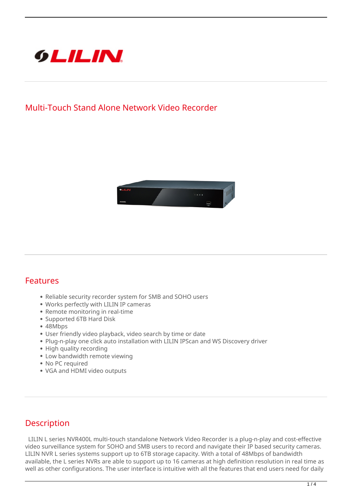

## **Multi-Touch Stand Alone Network Video Recorder**



## **Features**

- Reliable security recorder system for SMB and SOHO users
- Works perfectly with LILIN IP cameras
- Remote monitoring in real-time
- Supported 6TB Hard Disk
- 48Mbps
- User friendly video playback, video search by time or date
- Plug-n-play one click auto installation with LILIN IPScan and WS Discovery driver
- High quality recording
- Low bandwidth remote viewing
- No PC required
- VGA and HDMI video outputs

## **Description**

 LILIN L series NVR400L multi-touch standalone Network Video Recorder is a plug-n-play and cost-effective video surveillance system for SOHO and SMB users to record and navigate their IP based security cameras. LILIN NVR L series systems support up to 6TB storage capacity. With a total of 48Mbps of bandwidth available, the L series NVRs are able to support up to 16 cameras at high definition resolution in real time as well as other configurations. The user interface is intuitive with all the features that end users need for daily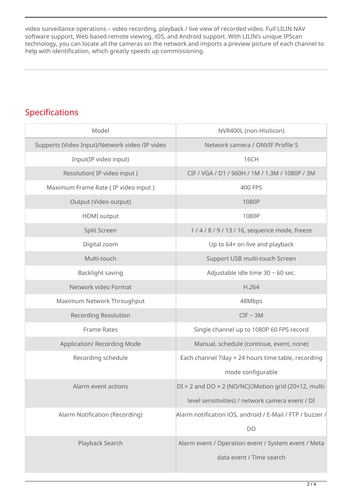video surveillance operations – video recording, playback / live view of recorded video. Full LILIN NAV software support, Web based remote viewing, iOS, and Android support. With LILIN's unique IPScan technology, you can locate all the cameras on the network and imports a preview picture of each channel to help with identification, which greatly speeds up commissioning.

## **Specifications**

| Model                                          | NVR400L (non-Hisilicon)                                   |
|------------------------------------------------|-----------------------------------------------------------|
| Supports (Video Input)/Network video /IP video | Network camera / ONVIF Profile S                          |
| Input(IP video input)                          | 16CH                                                      |
| Resolution(IP video input)                     | CIF / VGA / D1 / 960H / 1M / 1.3M / 1080P / 3M            |
| Maximum Frame Rate (IP video input)            | 400 FPS                                                   |
| Output (Video output)                          | 1080P                                                     |
| <b>HDMI</b> output                             | 1080P                                                     |
| Split Screen                                   | 1/4/8/9/13/16, sequence mode, freeze                      |
| Digital zoom                                   | Up to 64x on live and playback                            |
| Multi-touch                                    | Support USB multi-touch Screen                            |
| Backlight saving                               | Adjustable idle time 30 ~ 60 sec.                         |
| Network video Format                           | H.264                                                     |
| Maximum Network Throughput                     | 48Mbps                                                    |
| <b>Recording Resolution</b>                    | $CIF \sim 3M$                                             |
| <b>Frame Rates</b>                             | Single channel up to 1080P 60 FPS record                  |
| <b>Application/ Recording Mode</b>             | Manual, schedule (continue, event, none)                  |
| Recording schedule                             | Each channel 7day × 24 hours time table, recording        |
|                                                | mode configurable                                         |
| Alarm event actions                            | DI × 2 and DO × 2 (NO/NC) IMotion grid (20×12, multi-     |
|                                                | level sensitivities) / network camera event / DI          |
| Alarm Notification (Recording)                 | Alarm notification iOS, android / E-Mail / FTP / buzzer / |
|                                                | DO                                                        |
| Playback Search                                | Alarm event / Operation event / System event / Meta       |
|                                                | data event / Time search                                  |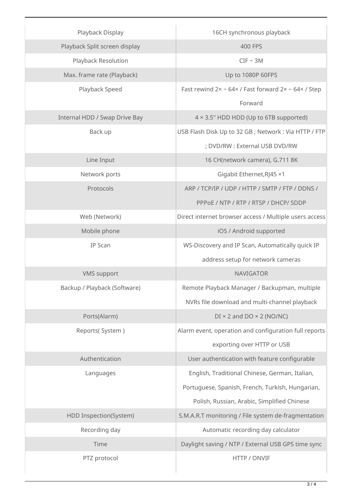| Playback Display              | 16CH synchronous playback                                                 |
|-------------------------------|---------------------------------------------------------------------------|
| Playback Split screen display | 400 FPS                                                                   |
| Playback Resolution           | $CIF \sim 3M$                                                             |
| Max. frame rate (Playback)    | Up to 1080P 60FPS                                                         |
| Playback Speed                | Fast rewind $2x \sim 64 \times$ / Fast forward $2x \sim 64 \times$ / Step |
|                               | Forward                                                                   |
| Internal HDD / Swap Drive Bay | 4 × 3.5" HDD HDD (Up to 6TB supported)                                    |
| Back up                       | USB Flash Disk Up to 32 GB; Network: Via HTTP / FTP                       |
|                               | ; DVD/RW : External USB DVD/RW                                            |
| Line Input                    | 16 CH(network camera), G.711 8K                                           |
| Network ports                 | Gigabit Ethernet, RJ45 ×1                                                 |
| Protocols                     | ARP / TCP/IP / UDP / HTTP / SMTP / FTP / DDNS /                           |
|                               | PPPOE / NTP / RTP / RTSP / DHCP/ SDDP                                     |
| Web (Network)                 | Direct internet browser access / Multiple users access                    |
| Mobile phone                  | iOS / Android supported                                                   |
| <b>IP Scan</b>                | WS-Discovery and IP Scan, Automatically quick IP                          |
|                               | address setup for network cameras                                         |
| <b>VMS</b> support            | <b>NAVIGATOR</b>                                                          |
| Backup / Playback (Software)  | Remote Playback Manager / Backupman, multiple                             |
|                               | NVRs file download and multi-channel playback                             |
| Ports(Alarm)                  | $DI \times 2$ and $DO \times 2$ (NO/NC)                                   |
| Reports(System)               | Alarm event, operation and configuration full reports                     |
|                               | exporting over HTTP or USB                                                |
| Authentication                | User authentication with feature configurable                             |
| Languages                     | English, Traditional Chinese, German, Italian,                            |
|                               | Portuguese, Spanish, French, Turkish, Hungarian,                          |
|                               | Polish, Russian, Arabic, Simplified Chinese                               |
| HDD Inspection(System)        | S.M.A.R.T monitoring / File system de-fragmentation                       |
| Recording day                 | Automatic recording day calculator                                        |
| Time                          | Daylight saving / NTP / External USB GPS time sync                        |
| PTZ protocol                  | HTTP / ONVIF                                                              |